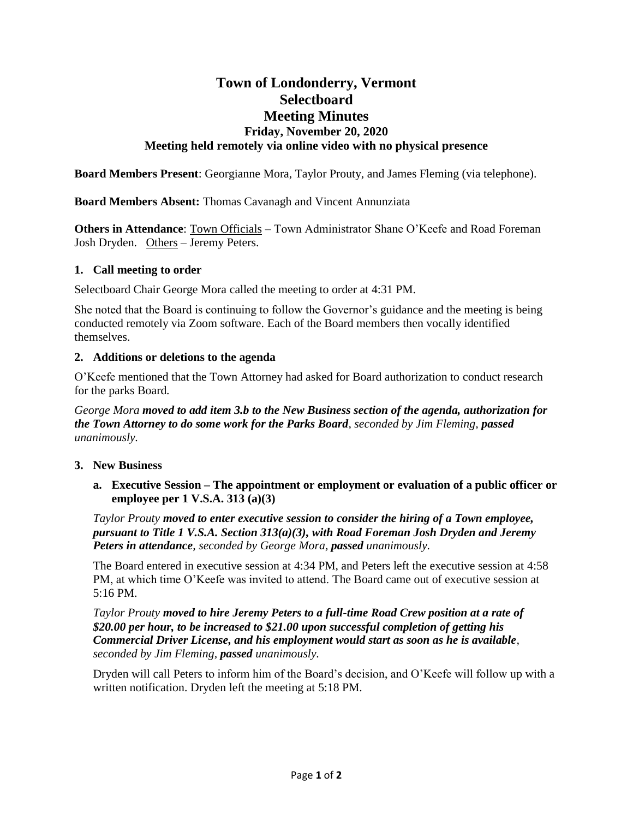# **Town of Londonderry, Vermont Selectboard Meeting Minutes Friday, November 20, 2020 Meeting held remotely via online video with no physical presence**

**Board Members Present**: Georgianne Mora, Taylor Prouty, and James Fleming (via telephone).

**Board Members Absent:** Thomas Cavanagh and Vincent Annunziata

**Others in Attendance**: **Town Officials** – Town Administrator Shane O'Keefe and Road Foreman Josh Dryden. Others – Jeremy Peters.

## **1. Call meeting to order**

Selectboard Chair George Mora called the meeting to order at 4:31 PM.

She noted that the Board is continuing to follow the Governor's guidance and the meeting is being conducted remotely via Zoom software. Each of the Board members then vocally identified themselves.

## **2. Additions or deletions to the agenda**

O'Keefe mentioned that the Town Attorney had asked for Board authorization to conduct research for the parks Board.

*George Mora moved to add item 3.b to the New Business section of the agenda, authorization for the Town Attorney to do some work for the Parks Board, seconded by Jim Fleming, passed unanimously.*

### **3. New Business**

**a. Executive Session – The appointment or employment or evaluation of a public officer or employee per 1 V.S.A. 313 (a)(3)** 

*Taylor Prouty moved to enter executive session to consider the hiring of a Town employee, pursuant to Title 1 V.S.A. Section 313(a)(3), with Road Foreman Josh Dryden and Jeremy Peters in attendance, seconded by George Mora, passed unanimously.*

The Board entered in executive session at 4:34 PM, and Peters left the executive session at 4:58 PM, at which time O'Keefe was invited to attend. The Board came out of executive session at 5:16 PM.

*Taylor Prouty moved to hire Jeremy Peters to a full-time Road Crew position at a rate of \$20.00 per hour, to be increased to \$21.00 upon successful completion of getting his Commercial Driver License, and his employment would start as soon as he is available, seconded by Jim Fleming, passed unanimously.*

Dryden will call Peters to inform him of the Board's decision, and O'Keefe will follow up with a written notification. Dryden left the meeting at 5:18 PM.